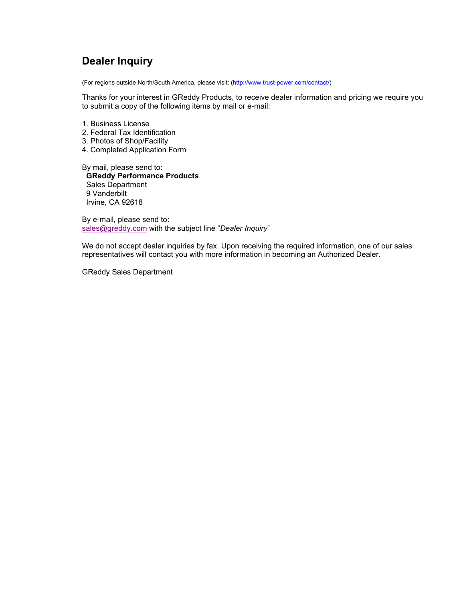# **Dealer Inquiry**

(For regions outside North/South America, please visit: (http://www.trust-power.com/contact/)

Thanks for your interest in GReddy Products, to receive dealer information and pricing we require you to submit a copy of the following items by mail or e-mail:

- 1. Business License
- 2. Federal Tax Identification
- 3. Photos of Shop/Facility
- 4. Completed Application Form

By mail, please send to: **GReddy Performance Products** Sales Department 9 Vanderbilt Irvine, CA 92618

By e-mail, please send to: sales@greddy.com with the subject line "*Dealer Inquiry*"

We do not accept dealer inquiries by fax. Upon receiving the required information, one of our sales representatives will contact you with more information in becoming an Authorized Dealer.

GReddy Sales Department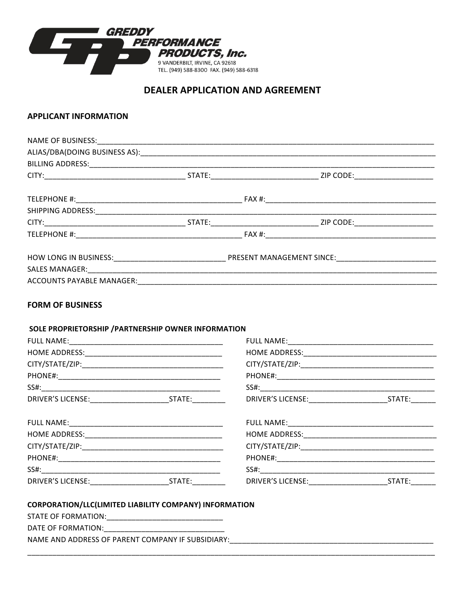

## **DEALER APPLICATION AND AGREEMENT**

## **APPLICANT INFORMATION**

## **FORM OF BUSINESS**

## SOLE PROPRIETORSHIP / PARTNERSHIP OWNER INFORMATION

| DRIVER'S LICENSE: STATE: | DRIVER'S LICENSE: New York Products | STATE:________ |
|--------------------------|-------------------------------------|----------------|
|                          |                                     |                |
|                          |                                     |                |
|                          |                                     |                |
|                          |                                     |                |
|                          |                                     |                |
| DRIVER'S LICENSE: STATE: |                                     |                |

### CORPORATION/LLC(LIMITED LIABILITY COMPANY) INFORMATION

| STATE OF FORMATION:                               |  |
|---------------------------------------------------|--|
| DATE OF FORMATION:                                |  |
| NAME AND ADDRESS OF PARENT COMPANY IF SUBSIDIARY: |  |
|                                                   |  |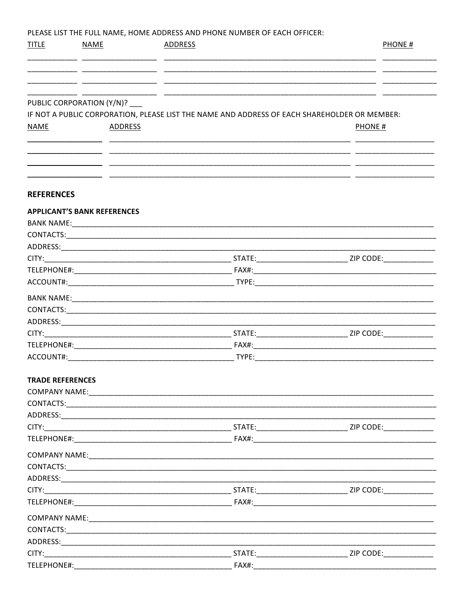PLEASE LIST THE FULL NAME. HOME ADDRESS AND PHONE NUMBER OF EACH OFFICER:

| <b>TITLE</b>            | NAME                                           | ADDRESS |                                                                                                               | PHONE# |
|-------------------------|------------------------------------------------|---------|---------------------------------------------------------------------------------------------------------------|--------|
|                         |                                                |         | <u> 1980 - Antonio Alemania, amerikan personal (h. 1980).</u>                                                 |        |
| <b>NAME</b>             | PUBLIC CORPORATION (Y/N)? __<br><b>ADDRESS</b> |         | IF NOT A PUBLIC CORPORATION, PLEASE LIST THE NAME AND ADDRESS OF EACH SHAREHOLDER OR MEMBER:<br><b>PHONE#</b> |        |
|                         |                                                |         | <u> 1990 - Jan James Jan Jan James (j. 1980)</u>                                                              |        |
| <b>REFERENCES</b>       |                                                |         |                                                                                                               |        |
|                         | <b>APPLICANT'S BANK REFERENCES</b>             |         |                                                                                                               |        |
|                         |                                                |         |                                                                                                               |        |
|                         |                                                |         |                                                                                                               |        |
|                         |                                                |         |                                                                                                               |        |
|                         |                                                |         |                                                                                                               |        |
|                         |                                                |         |                                                                                                               |        |
|                         |                                                |         |                                                                                                               |        |
|                         |                                                |         |                                                                                                               |        |
|                         |                                                |         |                                                                                                               |        |
|                         |                                                |         |                                                                                                               |        |
|                         |                                                |         |                                                                                                               |        |
|                         |                                                |         |                                                                                                               |        |
|                         |                                                |         |                                                                                                               |        |
| <b>TRADE REFERENCES</b> |                                                |         |                                                                                                               |        |
|                         |                                                |         |                                                                                                               |        |
|                         |                                                |         |                                                                                                               |        |
|                         |                                                |         |                                                                                                               |        |
|                         |                                                |         |                                                                                                               |        |
|                         |                                                |         |                                                                                                               |        |
|                         |                                                |         |                                                                                                               |        |
|                         |                                                |         |                                                                                                               |        |
|                         |                                                |         |                                                                                                               |        |
|                         |                                                |         |                                                                                                               |        |
|                         |                                                |         |                                                                                                               |        |
|                         |                                                |         |                                                                                                               |        |
|                         |                                                |         |                                                                                                               |        |
|                         |                                                |         |                                                                                                               |        |
|                         |                                                |         |                                                                                                               |        |
|                         | TELEPHONE#:                                    |         | FAX#:                                                                                                         |        |